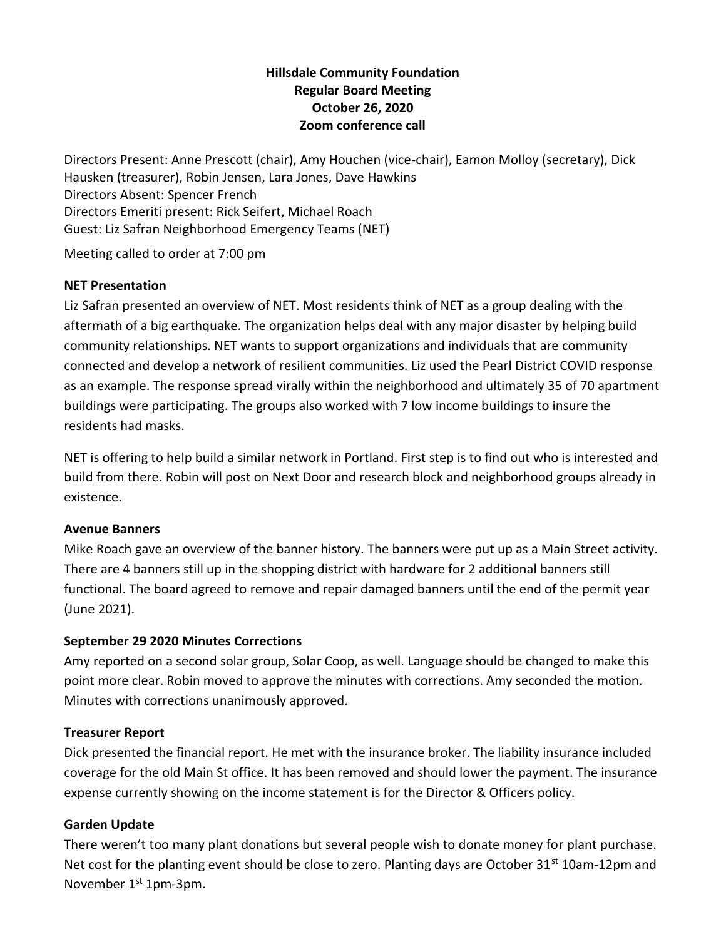# **Hillsdale Community Foundation Regular Board Meeting October 26, 2020 Zoom conference call**

Directors Present: Anne Prescott (chair), Amy Houchen (vice-chair), Eamon Molloy (secretary), Dick Hausken (treasurer), Robin Jensen, Lara Jones, Dave Hawkins Directors Absent: Spencer French Directors Emeriti present: Rick Seifert, Michael Roach Guest: Liz Safran Neighborhood Emergency Teams (NET)

Meeting called to order at 7:00 pm

### **NET Presentation**

Liz Safran presented an overview of NET. Most residents think of NET as a group dealing with the aftermath of a big earthquake. The organization helps deal with any major disaster by helping build community relationships. NET wants to support organizations and individuals that are community connected and develop a network of resilient communities. Liz used the Pearl District COVID response as an example. The response spread virally within the neighborhood and ultimately 35 of 70 apartment buildings were participating. The groups also worked with 7 low income buildings to insure the residents had masks.

NET is offering to help build a similar network in Portland. First step is to find out who is interested and build from there. Robin will post on Next Door and research block and neighborhood groups already in existence.

### **Avenue Banners**

Mike Roach gave an overview of the banner history. The banners were put up as a Main Street activity. There are 4 banners still up in the shopping district with hardware for 2 additional banners still functional. The board agreed to remove and repair damaged banners until the end of the permit year (June 2021).

### **September 29 2020 Minutes Corrections**

Amy reported on a second solar group, Solar Coop, as well. Language should be changed to make this point more clear. Robin moved to approve the minutes with corrections. Amy seconded the motion. Minutes with corrections unanimously approved.

#### **Treasurer Report**

Dick presented the financial report. He met with the insurance broker. The liability insurance included coverage for the old Main St office. It has been removed and should lower the payment. The insurance expense currently showing on the income statement is for the Director & Officers policy.

### **Garden Update**

There weren't too many plant donations but several people wish to donate money for plant purchase. Net cost for the planting event should be close to zero. Planting days are October 31<sup>st</sup> 10am-12pm and November 1<sup>st</sup> 1pm-3pm.